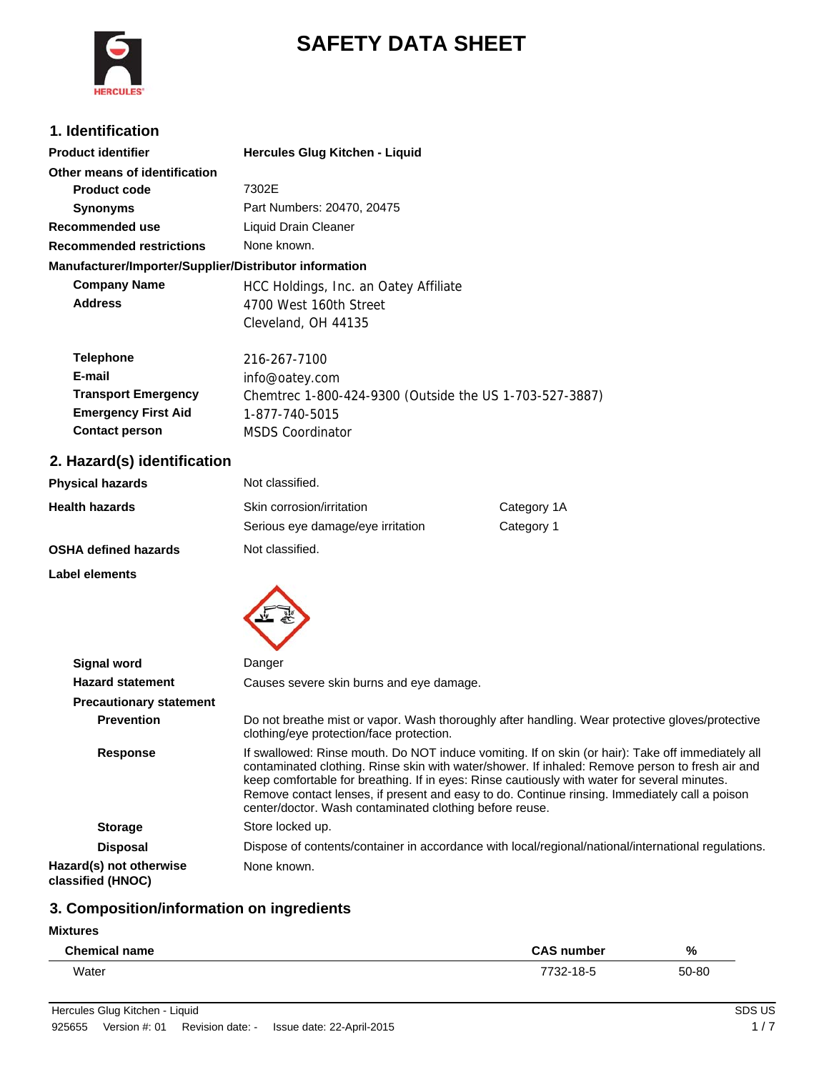# **HERC**

# **SAFETY DATA SHEET**

# **1. Identification**

| <b>Product identifier</b>                              | Hercules Glug Kitchen - Liquid                          |
|--------------------------------------------------------|---------------------------------------------------------|
| Other means of identification                          |                                                         |
| <b>Product code</b>                                    | 7302E                                                   |
| <b>Synonyms</b>                                        | Part Numbers: 20470, 20475                              |
| Recommended use                                        | Liquid Drain Cleaner                                    |
| <b>Recommended restrictions</b>                        | None known.                                             |
| Manufacturer/Importer/Supplier/Distributor information |                                                         |
| <b>Company Name</b>                                    | HCC Holdings, Inc. an Oatey Affiliate                   |
| <b>Address</b>                                         | 4700 West 160th Street                                  |
|                                                        | Cleveland, OH 44135                                     |
| <b>Telephone</b>                                       | 216-267-7100                                            |
| E-mail                                                 | info@oatey.com                                          |
| <b>Transport Emergency</b>                             | Chemtrec 1-800-424-9300 (Outside the US 1-703-527-3887) |
| <b>Emergency First Aid</b>                             | 1-877-740-5015                                          |
| <b>Contact person</b>                                  | <b>MSDS Coordinator</b>                                 |
|                                                        |                                                         |

# **2. Hazard(s) identification**

| <b>Physical hazards</b>     | Not classified.                   |             |
|-----------------------------|-----------------------------------|-------------|
| <b>Health hazards</b>       | Skin corrosion/irritation         | Category 1A |
|                             | Serious eye damage/eye irritation | Category 1  |
| <b>OSHA defined hazards</b> | Not classified.                   |             |
|                             |                                   |             |

**Label elements**



| <b>Signal word</b>                           | Danger                                                                                                                                                                                                                                                                                                                                                                                                                                                           |
|----------------------------------------------|------------------------------------------------------------------------------------------------------------------------------------------------------------------------------------------------------------------------------------------------------------------------------------------------------------------------------------------------------------------------------------------------------------------------------------------------------------------|
| <b>Hazard statement</b>                      | Causes severe skin burns and eye damage.                                                                                                                                                                                                                                                                                                                                                                                                                         |
| <b>Precautionary statement</b>               |                                                                                                                                                                                                                                                                                                                                                                                                                                                                  |
| <b>Prevention</b>                            | Do not breathe mist or vapor. Wash thoroughly after handling. Wear protective gloves/protective<br>clothing/eye protection/face protection.                                                                                                                                                                                                                                                                                                                      |
| <b>Response</b>                              | If swallowed: Rinse mouth. Do NOT induce vomiting. If on skin (or hair): Take off immediately all<br>contaminated clothing. Rinse skin with water/shower. If inhaled: Remove person to fresh air and<br>keep comfortable for breathing. If in eyes: Rinse cautiously with water for several minutes.<br>Remove contact lenses, if present and easy to do. Continue rinsing. Immediately call a poison<br>center/doctor. Wash contaminated clothing before reuse. |
| <b>Storage</b>                               | Store locked up.                                                                                                                                                                                                                                                                                                                                                                                                                                                 |
| <b>Disposal</b>                              | Dispose of contents/container in accordance with local/regional/national/international regulations.                                                                                                                                                                                                                                                                                                                                                              |
| Hazard(s) not otherwise<br>classified (HNOC) | None known.                                                                                                                                                                                                                                                                                                                                                                                                                                                      |

# **3. Composition/information on ingredients**

| <b>Mixtures</b> |  |
|-----------------|--|
|-----------------|--|

| <b>Chemical name</b> | <b>CAS number</b>          | %     |
|----------------------|----------------------------|-------|
| Water                | 700 בפ<br>טי - ט<br>$\sim$ | 50-80 |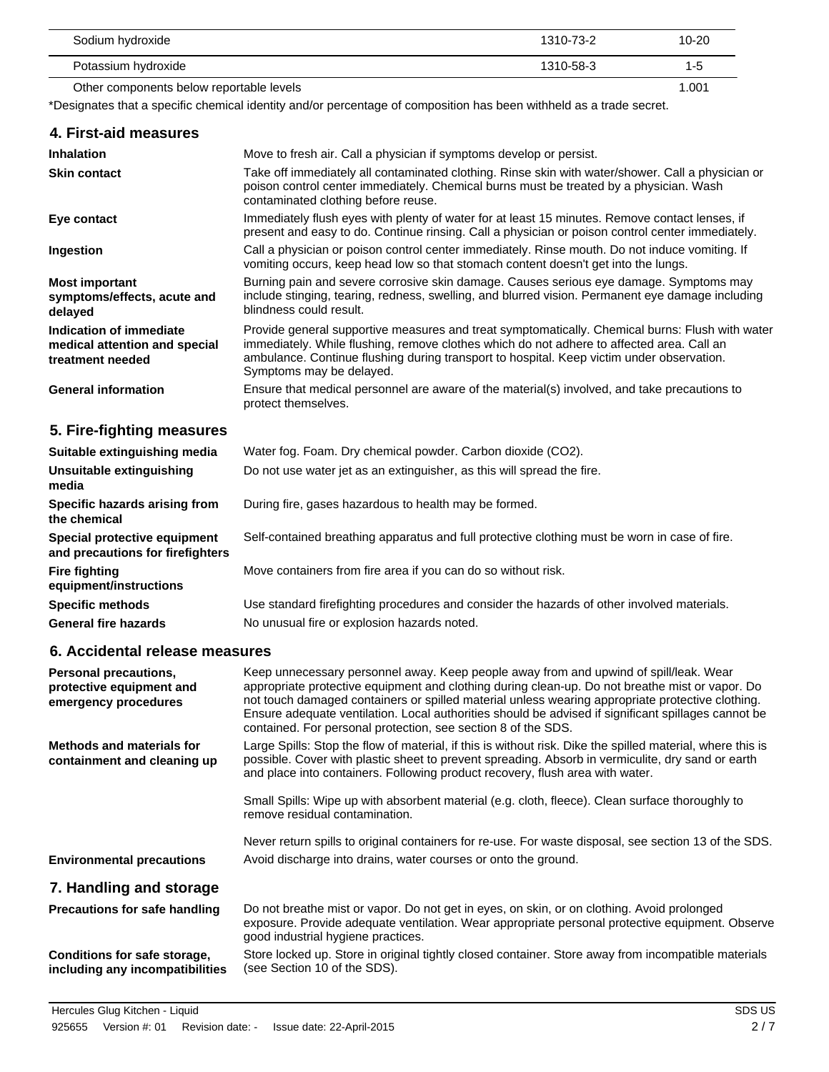| Sodium hydroxide                         | 1310-73-2 | $10 - 20$ |
|------------------------------------------|-----------|-----------|
| Potassium hydroxide                      | 1310-58-3 | 1-5       |
| Other components below reportable levels |           | 1.001     |

\*Designates that a specific chemical identity and/or percentage of composition has been withheld as a trade secret.

| 4. First-aid measures                                                        |                                                                                                                                                                                                                                                                                                                       |
|------------------------------------------------------------------------------|-----------------------------------------------------------------------------------------------------------------------------------------------------------------------------------------------------------------------------------------------------------------------------------------------------------------------|
| <b>Inhalation</b>                                                            | Move to fresh air. Call a physician if symptoms develop or persist.                                                                                                                                                                                                                                                   |
| <b>Skin contact</b>                                                          | Take off immediately all contaminated clothing. Rinse skin with water/shower. Call a physician or<br>poison control center immediately. Chemical burns must be treated by a physician. Wash<br>contaminated clothing before reuse.                                                                                    |
| Eye contact                                                                  | Immediately flush eyes with plenty of water for at least 15 minutes. Remove contact lenses, if<br>present and easy to do. Continue rinsing. Call a physician or poison control center immediately.                                                                                                                    |
| Ingestion                                                                    | Call a physician or poison control center immediately. Rinse mouth. Do not induce vomiting. If<br>vomiting occurs, keep head low so that stomach content doesn't get into the lungs.                                                                                                                                  |
| <b>Most important</b><br>symptoms/effects, acute and<br>delayed              | Burning pain and severe corrosive skin damage. Causes serious eye damage. Symptoms may<br>include stinging, tearing, redness, swelling, and blurred vision. Permanent eye damage including<br>blindness could result.                                                                                                 |
| Indication of immediate<br>medical attention and special<br>treatment needed | Provide general supportive measures and treat symptomatically. Chemical burns: Flush with water<br>immediately. While flushing, remove clothes which do not adhere to affected area. Call an<br>ambulance. Continue flushing during transport to hospital. Keep victim under observation.<br>Symptoms may be delayed. |
| <b>General information</b>                                                   | Ensure that medical personnel are aware of the material(s) involved, and take precautions to<br>protect themselves.                                                                                                                                                                                                   |
| 5. Fire-fighting measures                                                    |                                                                                                                                                                                                                                                                                                                       |
| Suitable extinguishing media                                                 | Water fog. Foam. Dry chemical powder. Carbon dioxide (CO2).                                                                                                                                                                                                                                                           |
| Unsuitable extinguishing<br>media                                            | Do not use water jet as an extinguisher, as this will spread the fire.                                                                                                                                                                                                                                                |
| Specific hazards arising from<br>the chemical                                | During fire, gases hazardous to health may be formed.                                                                                                                                                                                                                                                                 |
| Special protective equipment<br>and precautions for firefighters             | Self-contained breathing apparatus and full protective clothing must be worn in case of fire.                                                                                                                                                                                                                         |
| <b>Fire fighting</b><br>equipment/instructions                               | Move containers from fire area if you can do so without risk.                                                                                                                                                                                                                                                         |

**Specific methods** Use standard firefighting procedures and consider the hazards of other involved materials. General fire hazards **No unusual fire or explosion hazards noted.** 

#### **6. Accidental release measures**

| <b>Personal precautions,</b><br>protective equipment and<br>emergency procedures | Keep unnecessary personnel away. Keep people away from and upwind of spill/leak. Wear<br>appropriate protective equipment and clothing during clean-up. Do not breathe mist or vapor. Do<br>not touch damaged containers or spilled material unless wearing appropriate protective clothing.<br>Ensure adequate ventilation. Local authorities should be advised if significant spillages cannot be<br>contained. For personal protection, see section 8 of the SDS. |
|----------------------------------------------------------------------------------|----------------------------------------------------------------------------------------------------------------------------------------------------------------------------------------------------------------------------------------------------------------------------------------------------------------------------------------------------------------------------------------------------------------------------------------------------------------------|
| Methods and materials for<br>containment and cleaning up                         | Large Spills: Stop the flow of material, if this is without risk. Dike the spilled material, where this is<br>possible. Cover with plastic sheet to prevent spreading. Absorb in vermiculite, dry sand or earth<br>and place into containers. Following product recovery, flush area with water.                                                                                                                                                                     |
|                                                                                  | Small Spills: Wipe up with absorbent material (e.g. cloth, fleece). Clean surface thoroughly to<br>remove residual contamination.                                                                                                                                                                                                                                                                                                                                    |
| <b>Environmental precautions</b>                                                 | Never return spills to original containers for re-use. For waste disposal, see section 13 of the SDS.<br>Avoid discharge into drains, water courses or onto the ground.                                                                                                                                                                                                                                                                                              |
| 7. Handling and storage                                                          |                                                                                                                                                                                                                                                                                                                                                                                                                                                                      |
| <b>Precautions for safe handling</b>                                             | Do not breathe mist or vapor. Do not get in eyes, on skin, or on clothing. Avoid prolonged<br>exposure. Provide adequate ventilation. Wear appropriate personal protective equipment. Observe<br>good industrial hygiene practices.                                                                                                                                                                                                                                  |

Store locked up. Store in original tightly closed container. Store away from incompatible materials (see Section 10 of the SDS). **Conditions for safe storage, including any incompatibilities**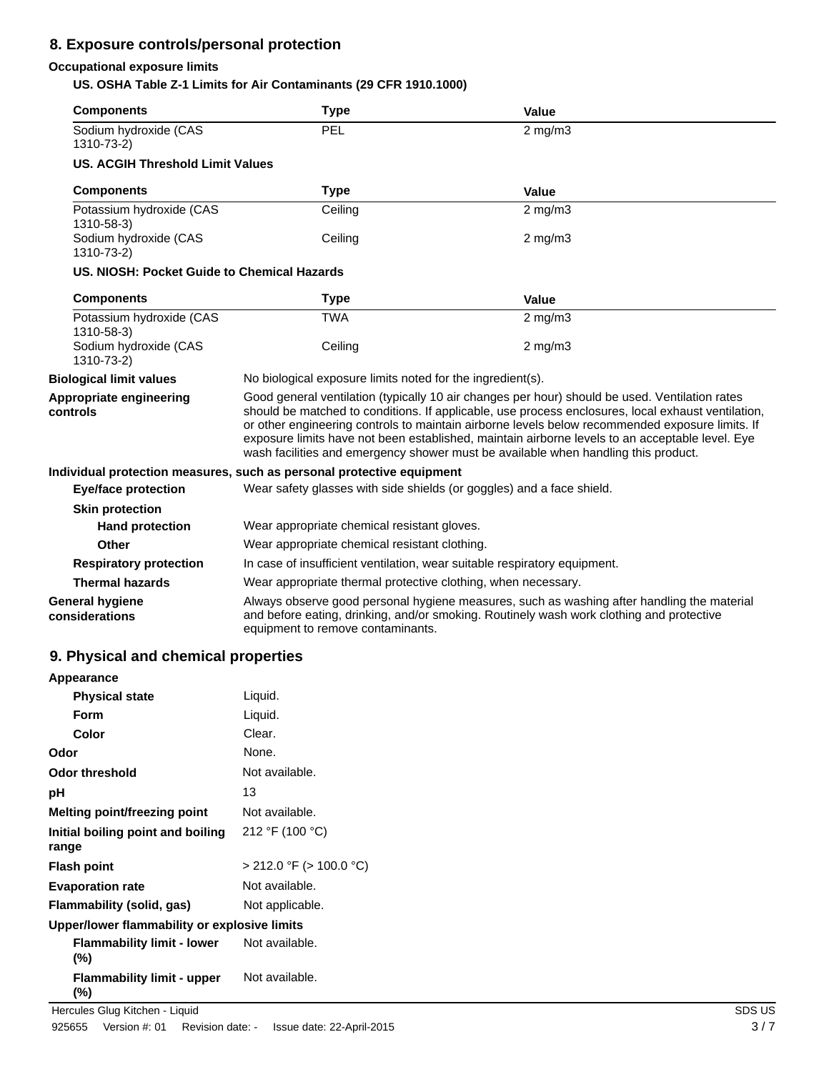### **8. Exposure controls/personal protection**

#### **Occupational exposure limits**

**US. OSHA Table Z-1 Limits for Air Contaminants (29 CFR 1910.1000)**

| <b>Components</b>                           | <b>Type</b>                                                                                                                                                                                                                                                                                                                                                                                                                                                                                      | Value        |  |
|---------------------------------------------|--------------------------------------------------------------------------------------------------------------------------------------------------------------------------------------------------------------------------------------------------------------------------------------------------------------------------------------------------------------------------------------------------------------------------------------------------------------------------------------------------|--------------|--|
| Sodium hydroxide (CAS<br>1310-73-2)         | PEL                                                                                                                                                                                                                                                                                                                                                                                                                                                                                              | $2$ mg/m $3$ |  |
| <b>US. ACGIH Threshold Limit Values</b>     |                                                                                                                                                                                                                                                                                                                                                                                                                                                                                                  |              |  |
| <b>Components</b>                           | <b>Type</b>                                                                                                                                                                                                                                                                                                                                                                                                                                                                                      | Value        |  |
| Potassium hydroxide (CAS<br>1310-58-3)      | Ceiling                                                                                                                                                                                                                                                                                                                                                                                                                                                                                          | $2$ mg/m $3$ |  |
| Sodium hydroxide (CAS<br>1310-73-2)         | Ceiling                                                                                                                                                                                                                                                                                                                                                                                                                                                                                          | $2$ mg/m $3$ |  |
| US. NIOSH: Pocket Guide to Chemical Hazards |                                                                                                                                                                                                                                                                                                                                                                                                                                                                                                  |              |  |
| <b>Components</b>                           | <b>Type</b>                                                                                                                                                                                                                                                                                                                                                                                                                                                                                      | Value        |  |
| Potassium hydroxide (CAS<br>1310-58-3)      | <b>TWA</b>                                                                                                                                                                                                                                                                                                                                                                                                                                                                                       | $2$ mg/m $3$ |  |
| Sodium hydroxide (CAS<br>1310-73-2)         | Ceiling                                                                                                                                                                                                                                                                                                                                                                                                                                                                                          | $2$ mg/m $3$ |  |
| <b>Biological limit values</b>              | No biological exposure limits noted for the ingredient(s).                                                                                                                                                                                                                                                                                                                                                                                                                                       |              |  |
| Appropriate engineering<br>controls         | Good general ventilation (typically 10 air changes per hour) should be used. Ventilation rates<br>should be matched to conditions. If applicable, use process enclosures, local exhaust ventilation,<br>or other engineering controls to maintain airborne levels below recommended exposure limits. If<br>exposure limits have not been established, maintain airborne levels to an acceptable level. Eye<br>wash facilities and emergency shower must be available when handling this product. |              |  |
|                                             | Individual protection measures, such as personal protective equipment                                                                                                                                                                                                                                                                                                                                                                                                                            |              |  |
| <b>Eye/face protection</b>                  | Wear safety glasses with side shields (or goggles) and a face shield.                                                                                                                                                                                                                                                                                                                                                                                                                            |              |  |
| <b>Skin protection</b>                      |                                                                                                                                                                                                                                                                                                                                                                                                                                                                                                  |              |  |
| <b>Hand protection</b>                      | Wear appropriate chemical resistant gloves.                                                                                                                                                                                                                                                                                                                                                                                                                                                      |              |  |
| Other                                       | Wear appropriate chemical resistant clothing.                                                                                                                                                                                                                                                                                                                                                                                                                                                    |              |  |
| <b>Respiratory protection</b>               | In case of insufficient ventilation, wear suitable respiratory equipment.                                                                                                                                                                                                                                                                                                                                                                                                                        |              |  |
| <b>Thermal hazards</b>                      | Wear appropriate thermal protective clothing, when necessary.                                                                                                                                                                                                                                                                                                                                                                                                                                    |              |  |
| <b>General hygiene</b><br>considerations    | Always observe good personal hygiene measures, such as washing after handling the material<br>and before eating, drinking, and/or smoking. Routinely wash work clothing and protective<br>equipment to remove contaminants.                                                                                                                                                                                                                                                                      |              |  |

# **9. Physical and chemical properties**

| Appearance                                   |                         |  |
|----------------------------------------------|-------------------------|--|
| <b>Physical state</b>                        | Liquid.                 |  |
| Form                                         | Liquid.                 |  |
| Color                                        | Clear.                  |  |
| Odor                                         | None.                   |  |
| Odor threshold                               | Not available.          |  |
| рH                                           | 13                      |  |
| Melting point/freezing point                 | Not available.          |  |
| Initial boiling point and boiling<br>range   | 212 °F (100 °C)         |  |
| Flash point                                  | > 212.0 °F (> 100.0 °C) |  |
| <b>Evaporation rate</b>                      | Not available.          |  |
| Flammability (solid, gas)                    | Not applicable.         |  |
| Upper/lower flammability or explosive limits |                         |  |
| <b>Flammability limit - lower</b><br>$(\% )$ | Not available.          |  |
| <b>Flammability limit - upper</b><br>(%)     | Not available.          |  |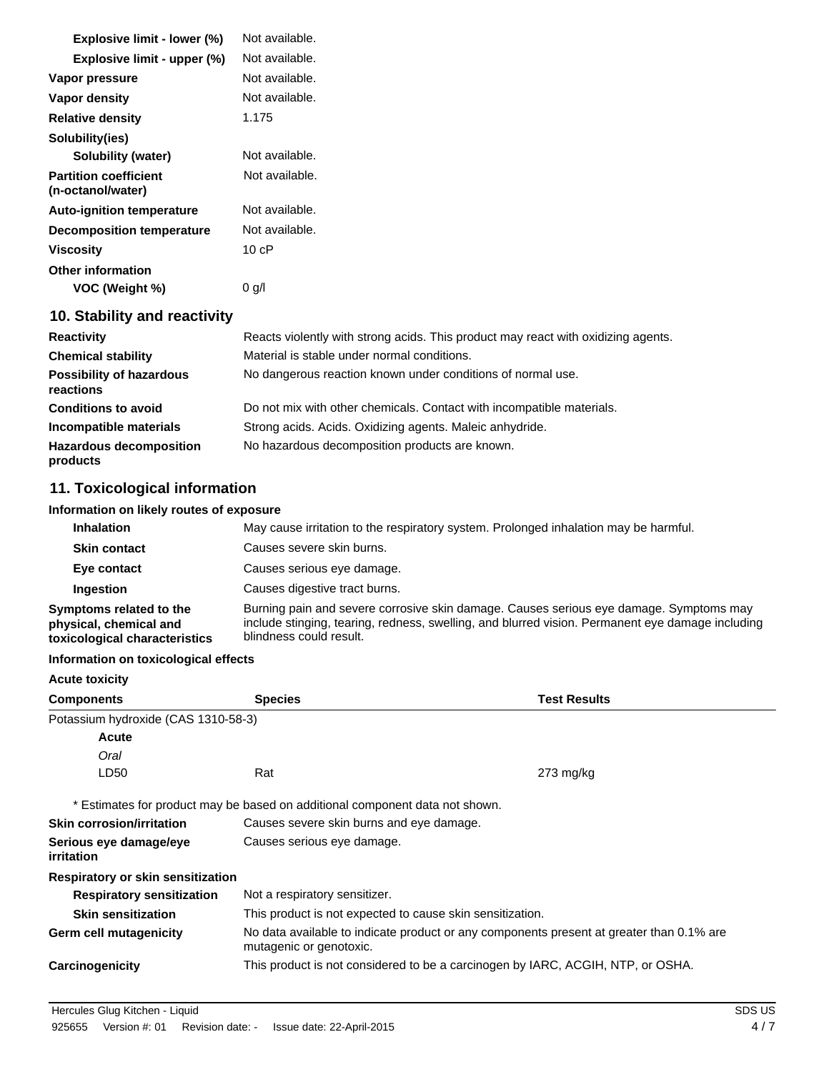| Explosive limit - lower (%)                       | Not available.                                                                    |
|---------------------------------------------------|-----------------------------------------------------------------------------------|
| Explosive limit - upper (%)                       | Not available.                                                                    |
| Vapor pressure                                    | Not available.                                                                    |
| Vapor density                                     | Not available.                                                                    |
| <b>Relative density</b>                           | 1.175                                                                             |
| Solubility(ies)                                   |                                                                                   |
| Solubility (water)                                | Not available.                                                                    |
| <b>Partition coefficient</b><br>(n-octanol/water) | Not available.                                                                    |
| <b>Auto-ignition temperature</b>                  | Not available.                                                                    |
| <b>Decomposition temperature</b>                  | Not available.                                                                    |
| <b>Viscosity</b>                                  | 10cP                                                                              |
| <b>Other information</b>                          |                                                                                   |
| VOC (Weight %)                                    | $0$ g/l                                                                           |
| 10. Stability and reactivity                      |                                                                                   |
| <b>Reactivity</b>                                 | Reacts violently with strong acids. This product may react with oxidizing agents. |
| <b>Chemical stability</b>                         | Material is stable under normal conditions.                                       |
| Possibility of hazardous<br>reactions             | No dangerous reaction known under conditions of normal use.                       |

| <b>Conditions to avoid</b>                 | Do not mix with other chemicals. Contact with incompatible materials. |
|--------------------------------------------|-----------------------------------------------------------------------|
| Incompatible materials                     | Strong acids. Acids. Oxidizing agents. Maleic anhydride.              |
| <b>Hazardous decomposition</b><br>products | No hazardous decomposition products are known.                        |

# **11. Toxicological information**

#### **Information on likely routes of exposure**

| May cause irritation to the respiratory system. Prolonged inhalation may be harmful.<br><b>Inhalation</b> |                                                                                                                                                                                                                       |
|-----------------------------------------------------------------------------------------------------------|-----------------------------------------------------------------------------------------------------------------------------------------------------------------------------------------------------------------------|
| <b>Skin contact</b>                                                                                       | Causes severe skin burns.                                                                                                                                                                                             |
| Eye contact                                                                                               | Causes serious eye damage.                                                                                                                                                                                            |
| Ingestion                                                                                                 | Causes digestive tract burns.                                                                                                                                                                                         |
| Symptoms related to the<br>physical, chemical and<br>toxicological characteristics                        | Burning pain and severe corrosive skin damage. Causes serious eye damage. Symptoms may<br>include stinging, tearing, redness, swelling, and blurred vision. Permanent eye damage including<br>blindness could result. |

#### **Information on toxicological effects**

| <b>Acute toxicity</b>                |                                                                                                                     |                     |
|--------------------------------------|---------------------------------------------------------------------------------------------------------------------|---------------------|
| <b>Components</b>                    | <b>Species</b>                                                                                                      | <b>Test Results</b> |
| Potassium hydroxide (CAS 1310-58-3)  |                                                                                                                     |                     |
| Acute                                |                                                                                                                     |                     |
| Oral                                 |                                                                                                                     |                     |
| LD50                                 | Rat                                                                                                                 | $273 \text{ mg/kg}$ |
|                                      | * Estimates for product may be based on additional component data not shown.                                        |                     |
| <b>Skin corrosion/irritation</b>     | Causes severe skin burns and eye damage.                                                                            |                     |
| Serious eye damage/eye<br>irritation | Causes serious eye damage.                                                                                          |                     |
| Respiratory or skin sensitization    |                                                                                                                     |                     |
| <b>Respiratory sensitization</b>     | Not a respiratory sensitizer.                                                                                       |                     |
| <b>Skin sensitization</b>            | This product is not expected to cause skin sensitization.                                                           |                     |
| <b>Germ cell mutagenicity</b>        | No data available to indicate product or any components present at greater than 0.1% are<br>mutagenic or genotoxic. |                     |
| Carcinogenicity                      | This product is not considered to be a carcinogen by IARC, ACGIH, NTP, or OSHA.                                     |                     |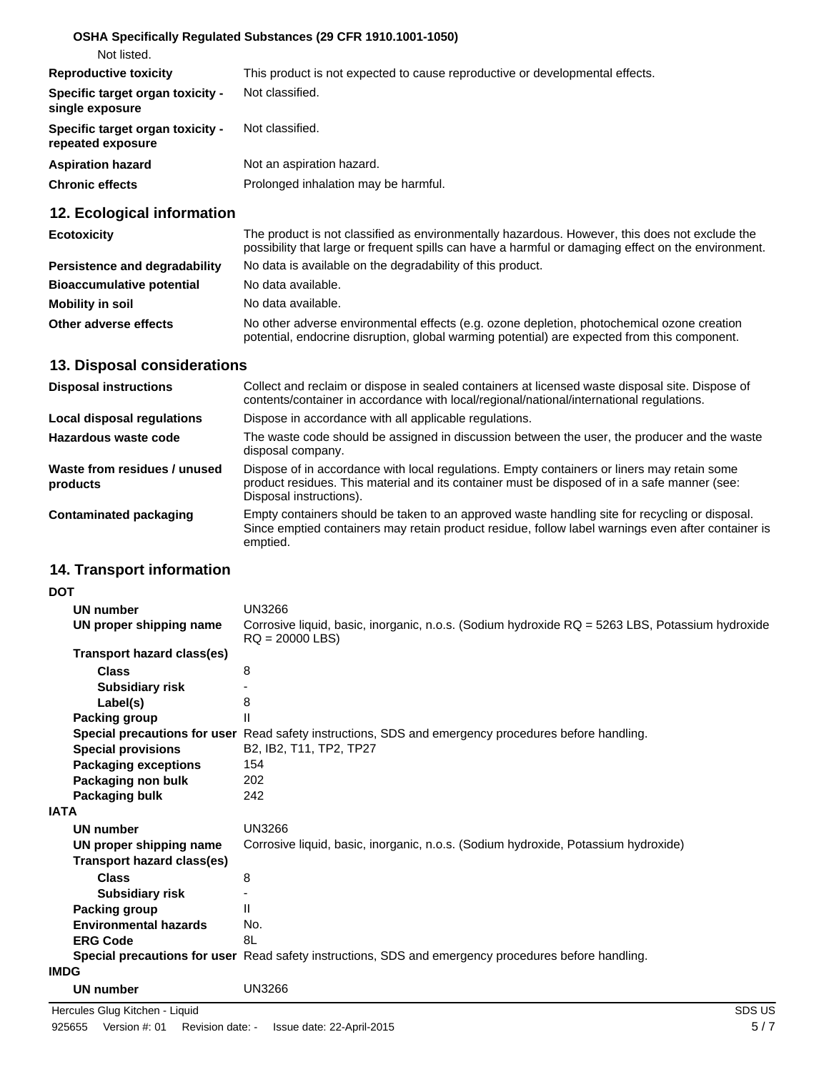#### **OSHA Specifically Regulated Substances (29 CFR 1910.1001-1050)**

| Not listed. |
|-------------|
|             |

| <b>Reproductive toxicity</b>                          | This product is not expected to cause reproductive or developmental effects. |
|-------------------------------------------------------|------------------------------------------------------------------------------|
| Specific target organ toxicity -<br>single exposure   | Not classified.                                                              |
| Specific target organ toxicity -<br>repeated exposure | Not classified.                                                              |
| <b>Aspiration hazard</b>                              | Not an aspiration hazard.                                                    |
| <b>Chronic effects</b>                                | Prolonged inhalation may be harmful.                                         |

# **12. Ecological information**

| <b>Ecotoxicity</b>               | The product is not classified as environmentally hazardous. However, this does not exclude the<br>possibility that large or frequent spills can have a harmful or damaging effect on the environment. |
|----------------------------------|-------------------------------------------------------------------------------------------------------------------------------------------------------------------------------------------------------|
| Persistence and degradability    | No data is available on the degradability of this product.                                                                                                                                            |
| <b>Bioaccumulative potential</b> | No data available.                                                                                                                                                                                    |
| Mobility in soil                 | No data available.                                                                                                                                                                                    |
| Other adverse effects            | No other adverse environmental effects (e.g. ozone depletion, photochemical ozone creation<br>potential, endocrine disruption, global warming potential) are expected from this component.            |

#### **13. Disposal considerations**

| <b>Disposal instructions</b>             | Collect and reclaim or dispose in sealed containers at licensed waste disposal site. Dispose of<br>contents/container in accordance with local/regional/national/international regulations.                            |
|------------------------------------------|------------------------------------------------------------------------------------------------------------------------------------------------------------------------------------------------------------------------|
| Local disposal regulations               | Dispose in accordance with all applicable regulations.                                                                                                                                                                 |
| Hazardous waste code                     | The waste code should be assigned in discussion between the user, the producer and the waste<br>disposal company.                                                                                                      |
| Waste from residues / unused<br>products | Dispose of in accordance with local regulations. Empty containers or liners may retain some<br>product residues. This material and its container must be disposed of in a safe manner (see:<br>Disposal instructions). |
| Contaminated packaging                   | Empty containers should be taken to an approved waste handling site for recycling or disposal.<br>Since emptied containers may retain product residue, follow label warnings even after container is<br>emptied.       |

# **14. Transport information**

| <b>DOT</b>  |                                   |                                                                                                                      |
|-------------|-----------------------------------|----------------------------------------------------------------------------------------------------------------------|
|             | <b>UN number</b>                  | <b>UN3266</b>                                                                                                        |
|             | UN proper shipping name           | Corrosive liquid, basic, inorganic, n.o.s. (Sodium hydroxide RQ = 5263 LBS, Potassium hydroxide<br>$RQ = 20000$ LBS) |
|             | Transport hazard class(es)        |                                                                                                                      |
|             | <b>Class</b>                      | 8                                                                                                                    |
|             | <b>Subsidiary risk</b>            |                                                                                                                      |
|             | Label(s)                          | 8                                                                                                                    |
|             | <b>Packing group</b>              | $\mathsf{II}$                                                                                                        |
|             |                                   | Special precautions for user Read safety instructions, SDS and emergency procedures before handling.                 |
|             | <b>Special provisions</b>         | B2, IB2, T11, TP2, TP27                                                                                              |
|             | <b>Packaging exceptions</b>       | 154                                                                                                                  |
|             | Packaging non bulk                | 202                                                                                                                  |
|             | Packaging bulk                    | 242                                                                                                                  |
| <b>IATA</b> |                                   |                                                                                                                      |
|             | <b>UN number</b>                  | <b>UN3266</b>                                                                                                        |
|             | UN proper shipping name           | Corrosive liquid, basic, inorganic, n.o.s. (Sodium hydroxide, Potassium hydroxide)                                   |
|             | <b>Transport hazard class(es)</b> |                                                                                                                      |
|             | <b>Class</b>                      | 8                                                                                                                    |
|             | <b>Subsidiary risk</b>            |                                                                                                                      |
|             | Packing group                     | $\mathbf{H}$                                                                                                         |
|             | <b>Environmental hazards</b>      | No.                                                                                                                  |
|             | <b>ERG Code</b>                   | 8L                                                                                                                   |
|             |                                   | Special precautions for user Read safety instructions, SDS and emergency procedures before handling.                 |
| <b>IMDG</b> |                                   |                                                                                                                      |
|             | UN number                         | <b>UN3266</b>                                                                                                        |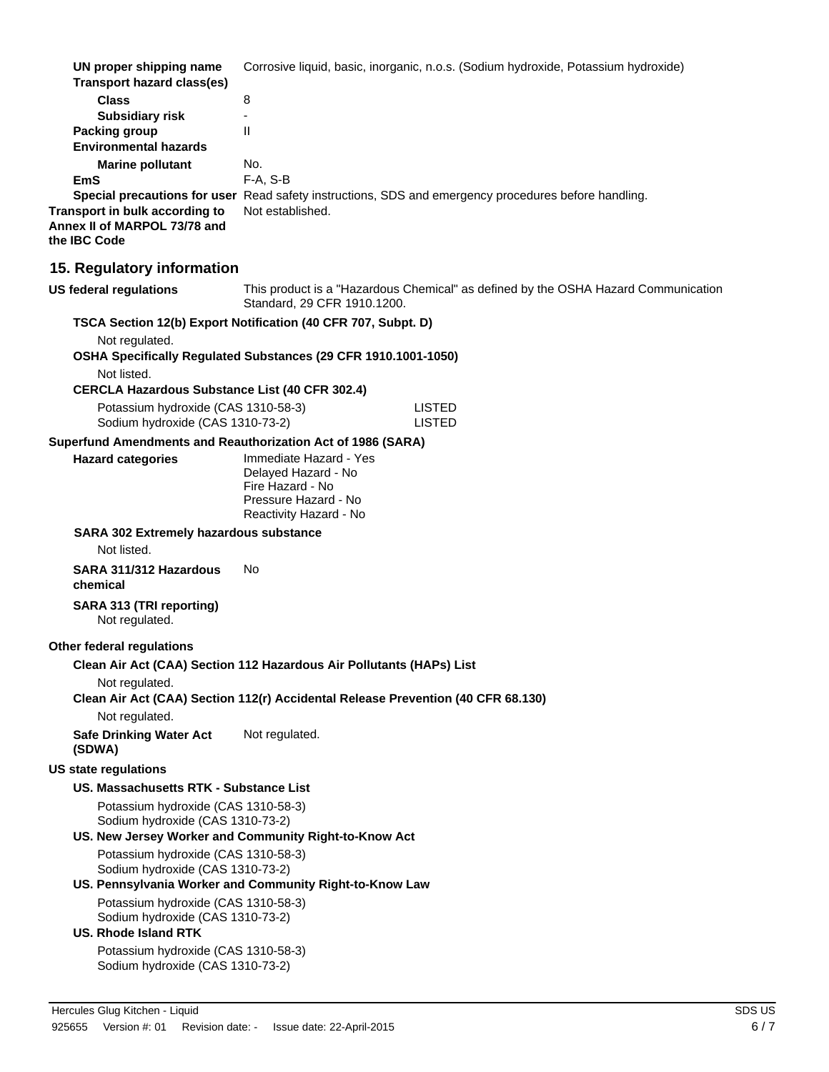| UN proper shipping name<br><b>Transport hazard class(es)</b>                                           | Corrosive liquid, basic, inorganic, n.o.s. (Sodium hydroxide, Potassium hydroxide)                                  |  |
|--------------------------------------------------------------------------------------------------------|---------------------------------------------------------------------------------------------------------------------|--|
| <b>Class</b>                                                                                           | 8                                                                                                                   |  |
| <b>Subsidiary risk</b><br><b>Packing group</b>                                                         | $\overline{a}$<br>$\mathbf{H}$                                                                                      |  |
| <b>Environmental hazards</b>                                                                           |                                                                                                                     |  |
| <b>Marine pollutant</b>                                                                                | No.                                                                                                                 |  |
| <b>EmS</b>                                                                                             | $F-A, S-B$                                                                                                          |  |
|                                                                                                        | Special precautions for user Read safety instructions, SDS and emergency procedures before handling.                |  |
| Transport in bulk according to<br>Annex II of MARPOL 73/78 and<br>the IBC Code                         | Not established.                                                                                                    |  |
| 15. Regulatory information                                                                             |                                                                                                                     |  |
| <b>US federal regulations</b>                                                                          | This product is a "Hazardous Chemical" as defined by the OSHA Hazard Communication<br>Standard, 29 CFR 1910.1200.   |  |
|                                                                                                        | TSCA Section 12(b) Export Notification (40 CFR 707, Subpt. D)                                                       |  |
| Not regulated.<br>Not listed.                                                                          | OSHA Specifically Regulated Substances (29 CFR 1910.1001-1050)                                                      |  |
| <b>CERCLA Hazardous Substance List (40 CFR 302.4)</b>                                                  |                                                                                                                     |  |
| Potassium hydroxide (CAS 1310-58-3)<br>Sodium hydroxide (CAS 1310-73-2)                                | <b>LISTED</b><br><b>LISTED</b>                                                                                      |  |
|                                                                                                        | Superfund Amendments and Reauthorization Act of 1986 (SARA)                                                         |  |
| <b>Hazard categories</b>                                                                               | Immediate Hazard - Yes<br>Delayed Hazard - No<br>Fire Hazard - No<br>Pressure Hazard - No<br>Reactivity Hazard - No |  |
| <b>SARA 302 Extremely hazardous substance</b><br>Not listed.                                           |                                                                                                                     |  |
| SARA 311/312 Hazardous<br>chemical                                                                     | No                                                                                                                  |  |
| SARA 313 (TRI reporting)<br>Not regulated.                                                             |                                                                                                                     |  |
| Other federal regulations                                                                              |                                                                                                                     |  |
| Not regulated.                                                                                         | Clean Air Act (CAA) Section 112 Hazardous Air Pollutants (HAPs) List                                                |  |
|                                                                                                        | Clean Air Act (CAA) Section 112(r) Accidental Release Prevention (40 CFR 68.130)                                    |  |
| Not regulated.<br><b>Safe Drinking Water Act</b><br>(SDWA)                                             | Not regulated.                                                                                                      |  |
| <b>US state regulations</b>                                                                            |                                                                                                                     |  |
| US. Massachusetts RTK - Substance List                                                                 |                                                                                                                     |  |
| Potassium hydroxide (CAS 1310-58-3)                                                                    |                                                                                                                     |  |
| Sodium hydroxide (CAS 1310-73-2)                                                                       | US. New Jersey Worker and Community Right-to-Know Act                                                               |  |
| Potassium hydroxide (CAS 1310-58-3)<br>Sodium hydroxide (CAS 1310-73-2)                                |                                                                                                                     |  |
|                                                                                                        | US. Pennsylvania Worker and Community Right-to-Know Law                                                             |  |
| Potassium hydroxide (CAS 1310-58-3)<br>Sodium hydroxide (CAS 1310-73-2)<br><b>US. Rhode Island RTK</b> |                                                                                                                     |  |
| Potassium hydroxide (CAS 1310-58-3)                                                                    |                                                                                                                     |  |
| Sodium hydroxide (CAS 1310-73-2)                                                                       |                                                                                                                     |  |